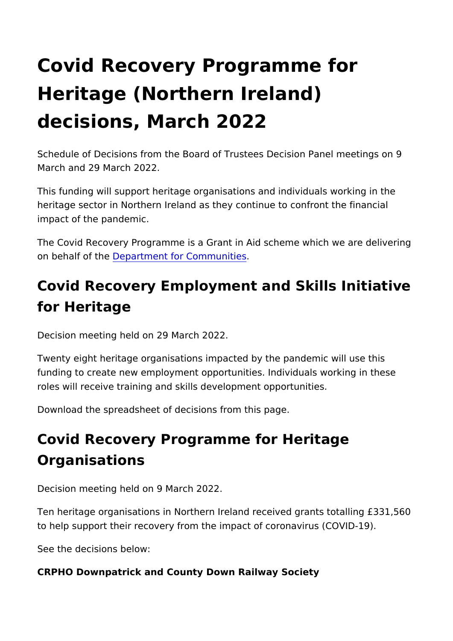# Covid Recovery Programme for Heritage (Northern Ireland) decisions, March 2022

Schedule of Decisions from the Board of Trustees Decision Pan March and 29 March 2022.

This funding will support heritage organisations and individuals heritage sector in Northern Ireland as they continue to confront impact of the pandemic.

The Covid Recovery Programme is a Grant in Aid scheme which on behalf of Dtehpeartment for Communities

## Covid Recovery Employment and Skills Init for Heritage

Decision meeting held on 29 March 2022.

Twenty eight heritage organisations impacted by the pandemic w funding to create new employment opportunities. Individuals wo roles will receive training and skills development opportunities.

Download the spreadsheet of decisions from this page.

# Covid Recovery Programme for Heritage Organisations

Decision meeting held on 9 March 2022.

Ten heritage organisations in Northern Ireland received grants to help support their recovery from the impact of coronavirus (C

See the decisions below:

CRPHO Downpatrick and County Down Railway Society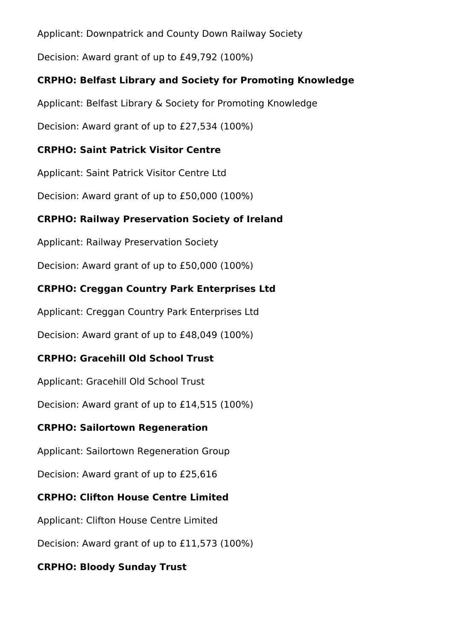Applicant: Downpatrick and County Down Railway Society

Decision: Award grant of up to £49,792 (100%)

#### **CRPHO: Belfast Library and Society for Promoting Knowledge**

Applicant: Belfast Library & Society for Promoting Knowledge

Decision: Award grant of up to £27,534 (100%)

#### **CRPHO: Saint Patrick Visitor Centre**

Applicant: Saint Patrick Visitor Centre Ltd

Decision: Award grant of up to £50,000 (100%)

#### **CRPHO: Railway Preservation Society of Ireland**

Applicant: Railway Preservation Society

Decision: Award grant of up to £50,000 (100%)

## **CRPHO: Creggan Country Park Enterprises Ltd**

Applicant: Creggan Country Park Enterprises Ltd

Decision: Award grant of up to £48,049 (100%)

## **CRPHO: Gracehill Old School Trust**

Applicant: Gracehill Old School Trust

Decision: Award grant of up to £14,515 (100%)

#### **CRPHO: Sailortown Regeneration**

Applicant: Sailortown Regeneration Group

Decision: Award grant of up to £25,616

## **CRPHO: Clifton House Centre Limited**

Applicant: Clifton House Centre Limited

Decision: Award grant of up to £11,573 (100%)

## **CRPHO: Bloody Sunday Trust**